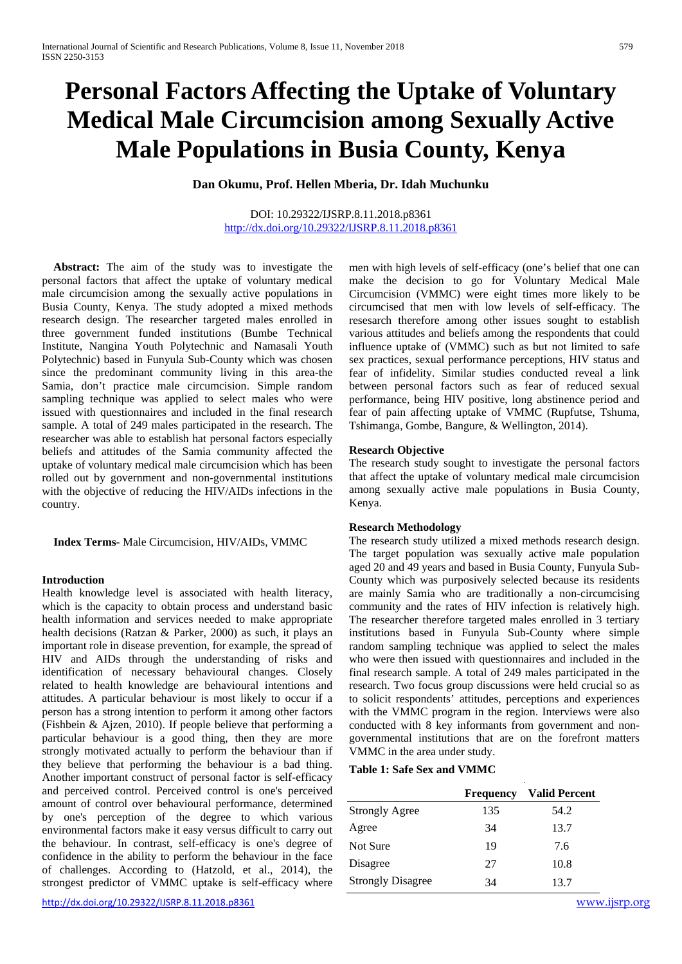# **Personal Factors Affecting the Uptake of Voluntary Medical Male Circumcision among Sexually Active Male Populations in Busia County, Kenya**

# **Dan Okumu, Prof. Hellen Mberia, Dr. Idah Muchunku**

DOI: 10.29322/IJSRP.8.11.2018.p8361 <http://dx.doi.org/10.29322/IJSRP.8.11.2018.p8361>

 **Abstract:** The aim of the study was to investigate the personal factors that affect the uptake of voluntary medical male circumcision among the sexually active populations in Busia County, Kenya. The study adopted a mixed methods research design. The researcher targeted males enrolled in three government funded institutions (Bumbe Technical Institute, Nangina Youth Polytechnic and Namasali Youth Polytechnic) based in Funyula Sub-County which was chosen since the predominant community living in this area-the Samia, don't practice male circumcision. Simple random sampling technique was applied to select males who were issued with questionnaires and included in the final research sample. A total of 249 males participated in the research. The researcher was able to establish hat personal factors especially beliefs and attitudes of the Samia community affected the uptake of voluntary medical male circumcision which has been rolled out by government and non-governmental institutions with the objective of reducing the HIV/AIDs infections in the country.

 **Index Terms**- Male Circumcision, HIV/AIDs, VMMC

# **Introduction**

Health knowledge level is associated with health literacy, which is the capacity to obtain process and understand basic health information and services needed to make appropriate health decisions (Ratzan & Parker, 2000) as such, it plays an important role in disease prevention, for example, the spread of HIV and AIDs through the understanding of risks and identification of necessary behavioural changes. Closely related to health knowledge are behavioural intentions and attitudes. A particular behaviour is most likely to occur if a person has a strong intention to perform it among other factors (Fishbein & Ajzen, 2010). If people believe that performing a particular behaviour is a good thing, then they are more strongly motivated actually to perform the behaviour than if they believe that performing the behaviour is a bad thing. Another important construct of personal factor is self-efficacy and perceived control. Perceived control is one's perceived amount of control over behavioural performance, determined by one's perception of the degree to which various environmental factors make it easy versus difficult to carry out the behaviour. In contrast, self-efficacy is one's degree of confidence in the ability to perform the behaviour in the face of challenges. According to (Hatzold, et al., 2014), the strongest predictor of VMMC uptake is self-efficacy where

<http://dx.doi.org/10.29322/IJSRP.8.11.2018.p8361> [www.ijsrp.org](http://ijsrp.org/)

men with high levels of self-efficacy (one's belief that one can make the decision to go for Voluntary Medical Male Circumcision (VMMC) were eight times more likely to be circumcised that men with low levels of self-efficacy. The resesarch therefore among other issues sought to establish various attitudes and beliefs among the respondents that could influence uptake of (VMMC) such as but not limited to safe sex practices, sexual performance perceptions, HIV status and fear of infidelity. Similar studies conducted reveal a link between personal factors such as fear of reduced sexual performance, being HIV positive, long abstinence period and fear of pain affecting uptake of VMMC (Rupfutse, Tshuma, Tshimanga, Gombe, Bangure, & Wellington, 2014).

#### **Research Objective**

The research study sought to investigate the personal factors that affect the uptake of voluntary medical male circumcision among sexually active male populations in Busia County, Kenya.

#### **Research Methodology**

The research study utilized a mixed methods research design. The target population was sexually active male population aged 20 and 49 years and based in Busia County, Funyula Sub-County which was purposively selected because its residents are mainly Samia who are traditionally a non-circumcising community and the rates of HIV infection is relatively high. The researcher therefore targeted males enrolled in 3 tertiary institutions based in Funyula Sub-County where simple random sampling technique was applied to select the males who were then issued with questionnaires and included in the final research sample. A total of 249 males participated in the research. Two focus group discussions were held crucial so as to solicit respondents' attitudes, perceptions and experiences with the VMMC program in the region. Interviews were also conducted with 8 key informants from government and nongovernmental institutions that are on the forefront matters VMMC in the area under study.

#### **Table 1: Safe Sex and VMMC**

|                          | <b>Frequency</b> | <b>Valid Percent</b> |
|--------------------------|------------------|----------------------|
| <b>Strongly Agree</b>    | 135              | 54.2                 |
| Agree                    | 34               | 13.7                 |
| Not Sure                 | 19               | 7.6                  |
| Disagree                 | 27               | 10.8                 |
| <b>Strongly Disagree</b> | 34               | 13.7                 |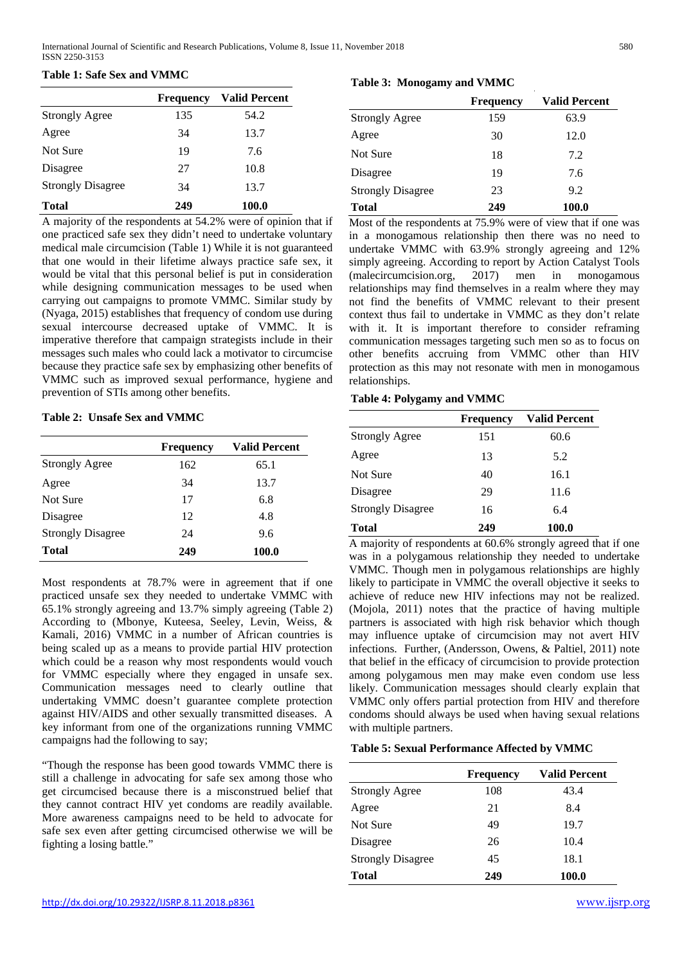## **Table 1: Safe Sex and VMMC**

|                          | <b>Frequency</b> | <b>Valid Percent</b> |
|--------------------------|------------------|----------------------|
| <b>Strongly Agree</b>    | 135              | 54.2                 |
| Agree                    | 34               | 13.7                 |
| Not Sure                 | 19               | 7.6                  |
| Disagree                 | 27               | 10.8                 |
| <b>Strongly Disagree</b> | 34               | 13.7                 |
| Total                    | 249              | 100.0                |

A majority of the respondents at 54.2% were of opinion that if one practiced safe sex they didn't need to undertake voluntary medical male circumcision (Table 1) While it is not guaranteed that one would in their lifetime always practice safe sex, it would be vital that this personal belief is put in consideration while designing communication messages to be used when carrying out campaigns to promote VMMC. Similar study by (Nyaga, 2015) establishes that frequency of condom use during sexual intercourse decreased uptake of VMMC. It is imperative therefore that campaign strategists include in their messages such males who could lack a motivator to circumcise because they practice safe sex by emphasizing other benefits of VMMC such as improved sexual performance, hygiene and prevention of STIs among other benefits.

## **Table 2: Unsafe Sex and VMMC**

|                          | <b>Frequency</b> | <b>Valid Percent</b> |
|--------------------------|------------------|----------------------|
| <b>Strongly Agree</b>    | 162              | 65.1                 |
| Agree                    | 34               | 13.7                 |
| Not Sure                 | 17               | 6.8                  |
| Disagree                 | 12               | 4.8                  |
| <b>Strongly Disagree</b> | 24               | 9.6                  |
| <b>Total</b>             | 249              | 100.0                |

Most respondents at 78.7% were in agreement that if one practiced unsafe sex they needed to undertake VMMC with 65.1% strongly agreeing and 13.7% simply agreeing (Table 2) According to (Mbonye, Kuteesa, Seeley, Levin, Weiss, & Kamali, 2016) VMMC in a number of African countries is being scaled up as a means to provide partial HIV protection which could be a reason why most respondents would vouch for VMMC especially where they engaged in unsafe sex. Communication messages need to clearly outline that undertaking VMMC doesn't guarantee complete protection against HIV/AIDS and other sexually transmitted diseases. A key informant from one of the organizations running VMMC campaigns had the following to say;

"Though the response has been good towards VMMC there is still a challenge in advocating for safe sex among those who get circumcised because there is a misconstrued belief that they cannot contract HIV yet condoms are readily available. More awareness campaigns need to be held to advocate for safe sex even after getting circumcised otherwise we will be fighting a losing battle."

# **Table 3: Monogamy and VMMC**

|                          | <b>Frequency</b> | <b>Valid Percent</b> |
|--------------------------|------------------|----------------------|
| <b>Strongly Agree</b>    | 159              | 63.9                 |
| Agree                    | 30               | 12.0                 |
| Not Sure                 | 18               | 7.2                  |
| Disagree                 | 19               | 7.6                  |
| <b>Strongly Disagree</b> | 23               | 9.2                  |
| <b>Total</b>             | 249              | 100.0                |

Most of the respondents at 75.9% were of view that if one was in a monogamous relationship then there was no need to undertake VMMC with 63.9% strongly agreeing and 12% simply agreeing. According to report by Action Catalyst Tools (malecircumcision.org, 2017) men in monogamous relationships may find themselves in a realm where they may not find the benefits of VMMC relevant to their present context thus fail to undertake in VMMC as they don't relate with it. It is important therefore to consider reframing communication messages targeting such men so as to focus on other benefits accruing from VMMC other than HIV protection as this may not resonate with men in monogamous relationships.

## **Table 4: Polygamy and VMMC**

|                          | <b>Frequency</b> | <b>Valid Percent</b> |
|--------------------------|------------------|----------------------|
| <b>Strongly Agree</b>    | 151              | 60.6                 |
| Agree                    | 13               | 5.2                  |
| Not Sure                 | 40               | 16.1                 |
| Disagree                 | 29               | 11.6                 |
| <b>Strongly Disagree</b> | 16               | 6.4                  |
| Total                    | 249              | 100.0                |

A majority of respondents at 60.6% strongly agreed that if one was in a polygamous relationship they needed to undertake VMMC. Though men in polygamous relationships are highly likely to participate in VMMC the overall objective it seeks to achieve of reduce new HIV infections may not be realized. (Mojola, 2011) notes that the practice of having multiple partners is associated with high risk behavior which though may influence uptake of circumcision may not avert HIV infections. Further, (Andersson, Owens, & Paltiel, 2011) note that belief in the efficacy of circumcision to provide protection among polygamous men may make even condom use less likely. Communication messages should clearly explain that VMMC only offers partial protection from HIV and therefore condoms should always be used when having sexual relations with multiple partners.

## **Table 5: Sexual Performance Affected by VMMC**

|                          | <b>Frequency</b> | <b>Valid Percent</b> |
|--------------------------|------------------|----------------------|
| <b>Strongly Agree</b>    | 108              | 43.4                 |
| Agree                    | 21               | 8.4                  |
| Not Sure                 | 49               | 19.7                 |
| Disagree                 | 26               | 10.4                 |
| <b>Strongly Disagree</b> | 45               | 18.1                 |
| Total                    | 249              | 100.0                |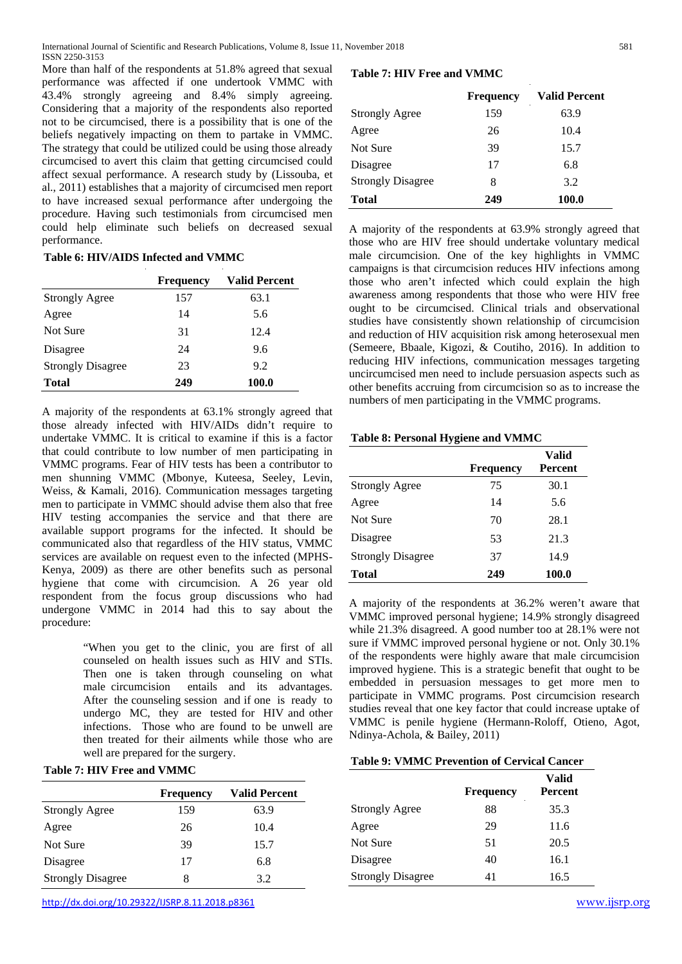More than half of the respondents at 51.8% agreed that sexual performance was affected if one undertook VMMC with 43.4% strongly agreeing and 8.4% simply agreeing. Considering that a majority of the respondents also reported not to be circumcised, there is a possibility that is one of the beliefs negatively impacting on them to partake in VMMC. The strategy that could be utilized could be using those already circumcised to avert this claim that getting circumcised could affect sexual performance. A research study by (Lissouba, et al., 2011) establishes that a majority of circumcised men report to have increased sexual performance after undergoing the procedure. Having such testimonials from circumcised men could help eliminate such beliefs on decreased sexual performance.

## **Table 6: HIV/AIDS Infected and VMMC**

|                          | <b>Frequency</b> | <b>Valid Percent</b> |
|--------------------------|------------------|----------------------|
| <b>Strongly Agree</b>    | 157              | 63.1                 |
| Agree                    | 14               | 5.6                  |
| Not Sure                 | 31               | 12.4                 |
| Disagree                 | 24               | 9.6                  |
| <b>Strongly Disagree</b> | 23               | 9.2                  |
| <b>Total</b>             | 249              | 100.0                |

A majority of the respondents at 63.1% strongly agreed that those already infected with HIV/AIDs didn't require to undertake VMMC. It is critical to examine if this is a factor that could contribute to low number of men participating in VMMC programs. Fear of HIV tests has been a contributor to men shunning VMMC (Mbonye, Kuteesa, Seeley, Levin, Weiss, & Kamali, 2016). Communication messages targeting men to participate in VMMC should advise them also that free HIV testing accompanies the service and that there are available support programs for the infected. It should be communicated also that regardless of the HIV status, VMMC services are available on request even to the infected (MPHS-Kenya, 2009) as there are other benefits such as personal hygiene that come with circumcision. A 26 year old respondent from the focus group discussions who had undergone VMMC in 2014 had this to say about the procedure:

> "When you get to the clinic, you are first of all counseled on health issues such as HIV and STIs. Then one is taken through counseling on what male circumcision entails and its advantages. After the counseling session and if one is ready to undergo MC, they are tested for HIV and other infections. Those who are found to be unwell are then treated for their ailments while those who are well are prepared for the surgery.

| <b>Table 7: HIV Free and VMMC</b> |  |  |  |  |
|-----------------------------------|--|--|--|--|
|-----------------------------------|--|--|--|--|

|                          | <b>Frequency</b> | <b>Valid Percent</b> |
|--------------------------|------------------|----------------------|
| <b>Strongly Agree</b>    | 159              | 63.9                 |
| Agree                    | 26               | 10.4                 |
| Not Sure                 | 39               | 15.7                 |
| Disagree                 | 17               | 6.8                  |
| <b>Strongly Disagree</b> | x                | 3.2                  |

#### **Table 7: HIV Free and VMMC**

|                          | <b>Frequency</b> | <b>Valid Percent</b> |
|--------------------------|------------------|----------------------|
| <b>Strongly Agree</b>    | 159              | 63.9                 |
| Agree                    | 26               | 10.4                 |
| Not Sure                 | 39               | 15.7                 |
| Disagree                 | 17               | 6.8                  |
| <b>Strongly Disagree</b> | 8                | 3.2                  |
| <b>Total</b>             | 249              | 100.0                |

A majority of the respondents at 63.9% strongly agreed that those who are HIV free should undertake voluntary medical male circumcision. One of the key highlights in VMMC campaigns is that circumcision reduces HIV infections among those who aren't infected which could explain the high awareness among respondents that those who were HIV free ought to be circumcised. Clinical trials and observational studies have consistently shown relationship of circumcision and reduction of HIV acquisition risk among heterosexual men (Semeere, Bbaale, Kigozi, & Coutiho, 2016). In addition to reducing HIV infections, communication messages targeting uncircumcised men need to include persuasion aspects such as other benefits accruing from circumcision so as to increase the numbers of men participating in the VMMC programs.

#### **Table 8: Personal Hygiene and VMMC**

|                          | <b>Frequency</b> | Valid<br>Percent |
|--------------------------|------------------|------------------|
| <b>Strongly Agree</b>    | 75               | 30.1             |
| Agree                    | 14               | 5.6              |
| Not Sure                 | 70               | 28.1             |
| Disagree                 | 53               | 21.3             |
| <b>Strongly Disagree</b> | 37               | 14.9             |
| Total                    | 249              | 100.0            |

A majority of the respondents at 36.2% weren't aware that VMMC improved personal hygiene; 14.9% strongly disagreed while 21.3% disagreed. A good number too at 28.1% were not sure if VMMC improved personal hygiene or not. Only 30.1% of the respondents were highly aware that male circumcision improved hygiene. This is a strategic benefit that ought to be embedded in persuasion messages to get more men to participate in VMMC programs. Post circumcision research studies reveal that one key factor that could increase uptake of VMMC is penile hygiene (Hermann-Roloff, Otieno, Agot, Ndinya-Achola, & Bailey, 2011)

#### **Table 9: VMMC Prevention of Cervical Cancer**

|                          | <b>Frequency</b> | Valid<br>Percent |
|--------------------------|------------------|------------------|
| <b>Strongly Agree</b>    | 88               | 35.3             |
| Agree                    | 29               | 11.6             |
| Not Sure                 | 51               | 20.5             |
| Disagree                 | 40               | 16.1             |
| <b>Strongly Disagree</b> | 41               | 16.5             |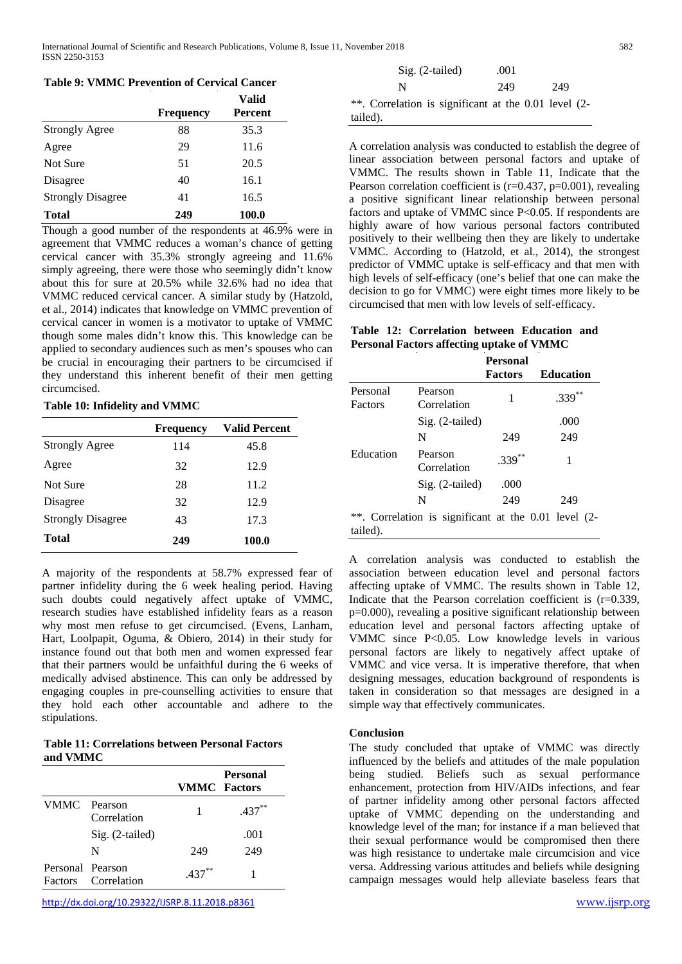## **Table 9: VMMC Prevention of Cervical Cancer**

|                          | <b>Frequency</b> | Valid<br>Percent |
|--------------------------|------------------|------------------|
| <b>Strongly Agree</b>    | 88               | 35.3             |
| Agree                    | 29               | 11.6             |
| Not Sure                 | 51               | 20.5             |
| Disagree                 | 40               | 16.1             |
| <b>Strongly Disagree</b> | 41               | 16.5             |
| Total                    | 249              | 100.0            |

Though a good number of the respondents at 46.9% were in agreement that VMMC reduces a woman's chance of getting cervical cancer with 35.3% strongly agreeing and 11.6% simply agreeing, there were those who seemingly didn't know about this for sure at 20.5% while 32.6% had no idea that VMMC reduced cervical cancer. A similar study by (Hatzold, et al., 2014) indicates that knowledge on VMMC prevention of cervical cancer in women is a motivator to uptake of VMMC though some males didn't know this. This knowledge can be applied to secondary audiences such as men's spouses who can be crucial in encouraging their partners to be circumcised if they understand this inherent benefit of their men getting circumcised.

#### **Table 10: Infidelity and VMMC**

|                          | <b>Frequency</b> | <b>Valid Percent</b> |
|--------------------------|------------------|----------------------|
| <b>Strongly Agree</b>    | 114              | 45.8                 |
| Agree                    | 32               | 12.9                 |
| Not Sure                 | 28               | 11.2                 |
| Disagree                 | 32               | 12.9                 |
| <b>Strongly Disagree</b> | 43               | 17.3                 |
| Total                    | 249              | 100.0                |

A majority of the respondents at 58.7% expressed fear of partner infidelity during the 6 week healing period. Having such doubts could negatively affect uptake of VMMC, research studies have established infidelity fears as a reason why most men refuse to get circumcised. (Evens, Lanham, Hart, Loolpapit, Oguma, & Obiero, 2014) in their study for instance found out that both men and women expressed fear that their partners would be unfaithful during the 6 weeks of medically advised abstinence. This can only be addressed by engaging couples in pre-counselling activities to ensure that they hold each other accountable and adhere to the stipulations.

#### **Table 11: Correlations between Personal Factors and VMMC**

|                                    |                   | <b>VMMC</b> Factors | <b>Personal</b> |
|------------------------------------|-------------------|---------------------|-----------------|
| VMMC Pearson                       | Correlation       | 1                   | $.437***$       |
|                                    | $Sig. (2-tailed)$ |                     | .001            |
|                                    | N                 | 249                 | 249             |
| Personal Pearson<br><b>Factors</b> | Correlation       | .437                |                 |

<http://dx.doi.org/10.29322/IJSRP.8.11.2018.p8361> [www.ijsrp.org](http://ijsrp.org/)

| $\mathrm{Sig.}$ (2-tailed)                           | .001 |     |
|------------------------------------------------------|------|-----|
| N                                                    | 249  | 249 |
| **. Correlation is significant at the 0.01 level (2- |      |     |
| tailed).                                             |      |     |

A correlation analysis was conducted to establish the degree of linear association between personal factors and uptake of VMMC. The results shown in Table 11, Indicate that the Pearson correlation coefficient is  $(r=0.437, p=0.001)$ , revealing a positive significant linear relationship between personal factors and uptake of VMMC since P<0.05. If respondents are highly aware of how various personal factors contributed positively to their wellbeing then they are likely to undertake VMMC. According to (Hatzold, et al., 2014), the strongest predictor of VMMC uptake is self-efficacy and that men with high levels of self-efficacy (one's belief that one can make the decision to go for VMMC) were eight times more likely to be circumcised that men with low levels of self-efficacy.

## **Table 12: Correlation between Education and Personal Factors affecting uptake of VMMC**

|                     |                                                      | <b>Personal</b><br><b>Factors</b> | <b>Education</b> |
|---------------------|------------------------------------------------------|-----------------------------------|------------------|
| Personal<br>Factors | Pearson<br>Correlation                               | 1                                 | **<br>.339       |
|                     | $Sig. (2-tailed)$                                    |                                   | .000             |
|                     | N                                                    | 249                               | 249              |
| Education           | Pearson<br>Correlation                               | $.339***$                         | 1                |
|                     | Sig. (2-tailed)                                      | .000                              |                  |
|                     | N                                                    | 249                               | 249              |
| $\cdot$ 1           | **. Correlation is significant at the 0.01 level (2- |                                   |                  |

tailed).

A correlation analysis was conducted to establish the association between education level and personal factors affecting uptake of VMMC. The results shown in Table 12, Indicate that the Pearson correlation coefficient is  $(r=0.339)$ . p=0.000), revealing a positive significant relationship between education level and personal factors affecting uptake of VMMC since P<0.05. Low knowledge levels in various personal factors are likely to negatively affect uptake of VMMC and vice versa. It is imperative therefore, that when designing messages, education background of respondents is taken in consideration so that messages are designed in a simple way that effectively communicates.

## **Conclusion**

The study concluded that uptake of VMMC was directly influenced by the beliefs and attitudes of the male population being studied. Beliefs such as sexual performance enhancement, protection from HIV/AIDs infections, and fear of partner infidelity among other personal factors affected uptake of VMMC depending on the understanding and knowledge level of the man; for instance if a man believed that their sexual performance would be compromised then there was high resistance to undertake male circumcision and vice versa. Addressing various attitudes and beliefs while designing campaign messages would help alleviate baseless fears that